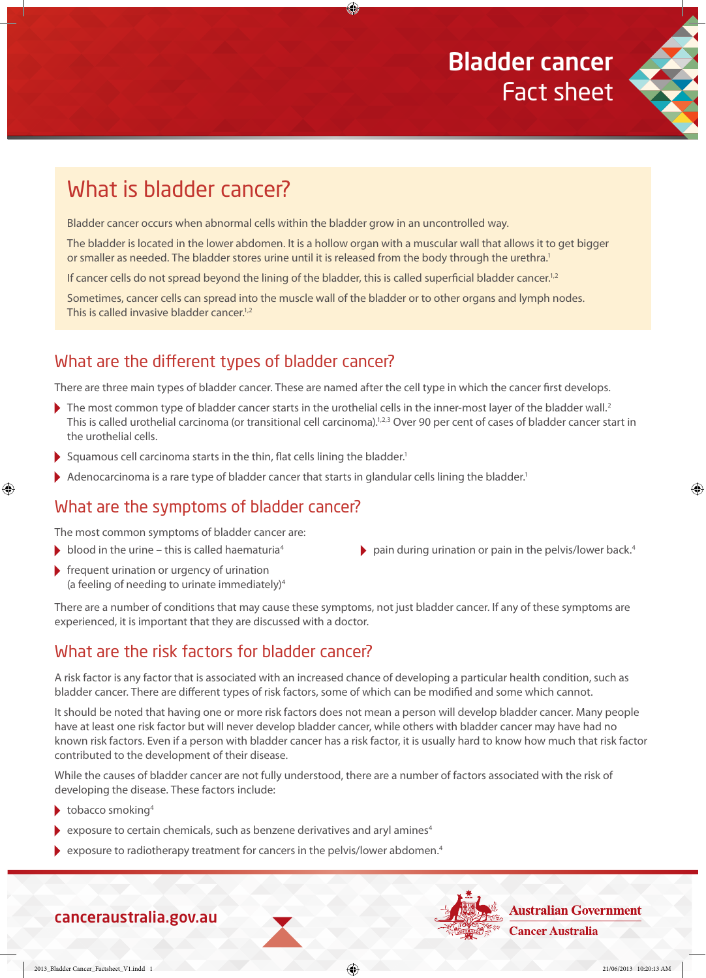

⊕

# What is bladder cancer?

Bladder cancer occurs when abnormal cells within the bladder grow in an uncontrolled way.

The bladder is located in the lower abdomen. It is a hollow organ with a muscular wall that allows it to get bigger or smaller as needed. The bladder stores urine until it is released from the body through the urethra.<sup>1</sup>

企

If cancer cells do not spread beyond the lining of the bladder, this is called superficial bladder cancer.<sup>1,2</sup>

Sometimes, cancer cells can spread into the muscle wall of the bladder or to other organs and lymph nodes. This is called invasive bladder cancer.<sup>1,2</sup>

# What are the different types of bladder cancer?

There are three main types of bladder cancer. These are named after the cell type in which the cancer first develops.

- The most common type of bladder cancer starts in the urothelial cells in the inner-most layer of the bladder wall.<sup>2</sup> This is called urothelial carcinoma (or transitional cell carcinoma).<sup>1,2,3</sup> Over 90 per cent of cases of bladder cancer start in the urothelial cells.
- Squamous cell carcinoma starts in the thin, flat cells lining the bladder.<sup>1</sup>
- Adenocarcinoma is a rare type of bladder cancer that starts in glandular cells lining the bladder.<sup>1</sup>

#### What are the symptoms of bladder cancer?

The most common symptoms of bladder cancer are:

- blood in the urine this is called haematuria<sup>4</sup>
- $\blacktriangleright$  frequent urination or urgency of urination (a feeling of needing to urinate immediately)4
- There are a number of conditions that may cause these symptoms, not just bladder cancer. If any of these symptoms are experienced, it is important that they are discussed with a doctor.

## What are the risk factors for bladder cancer?

A risk factor is any factor that is associated with an increased chance of developing a particular health condition, such as bladder cancer. There are different types of risk factors, some of which can be modified and some which cannot.

It should be noted that having one or more risk factors does not mean a person will develop bladder cancer. Many people have at least one risk factor but will never develop bladder cancer, while others with bladder cancer may have had no known risk factors. Even if a person with bladder cancer has a risk factor, it is usually hard to know how much that risk factor contributed to the development of their disease.

While the causes of bladder cancer are not fully understood, there are a number of factors associated with the risk of developing the disease. These factors include:

 $\bullet$  tobacco smoking<sup>4</sup>

⊕

- exposure to certain chemicals, such as benzene derivatives and aryl amines<sup>4</sup>
- exposure to radiotherapy treatment for cancers in the pelvis/lower abdomen.<sup>4</sup>

canceraustralia.gov.au

- **Australian Government Cancer Australia**
- 2013 Bladder Cancer\_Factsheet\_V1.indd 1 21/06/2013 10:20:13 AM

 $\blacktriangleright$  pain during urination or pain in the pelvis/lower back.<sup>4</sup>